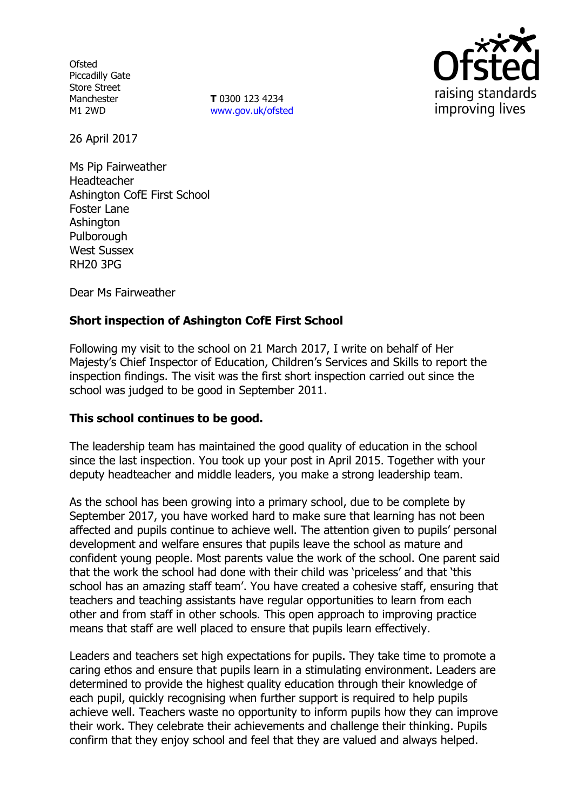**Ofsted** Piccadilly Gate Store Street Manchester M1 2WD

**T** 0300 123 4234 www.gov.uk/ofsted



26 April 2017

Ms Pip Fairweather Headteacher Ashington CofE First School Foster Lane Ashington Pulborough West Sussex RH20 3PG

Dear Ms Fairweather

# **Short inspection of Ashington CofE First School**

Following my visit to the school on 21 March 2017, I write on behalf of Her Majesty's Chief Inspector of Education, Children's Services and Skills to report the inspection findings. The visit was the first short inspection carried out since the school was judged to be good in September 2011.

#### **This school continues to be good.**

The leadership team has maintained the good quality of education in the school since the last inspection. You took up your post in April 2015. Together with your deputy headteacher and middle leaders, you make a strong leadership team.

As the school has been growing into a primary school, due to be complete by September 2017, you have worked hard to make sure that learning has not been affected and pupils continue to achieve well. The attention given to pupils' personal development and welfare ensures that pupils leave the school as mature and confident young people. Most parents value the work of the school. One parent said that the work the school had done with their child was 'priceless' and that 'this school has an amazing staff team'. You have created a cohesive staff, ensuring that teachers and teaching assistants have regular opportunities to learn from each other and from staff in other schools. This open approach to improving practice means that staff are well placed to ensure that pupils learn effectively.

Leaders and teachers set high expectations for pupils. They take time to promote a caring ethos and ensure that pupils learn in a stimulating environment. Leaders are determined to provide the highest quality education through their knowledge of each pupil, quickly recognising when further support is required to help pupils achieve well. Teachers waste no opportunity to inform pupils how they can improve their work. They celebrate their achievements and challenge their thinking. Pupils confirm that they enjoy school and feel that they are valued and always helped.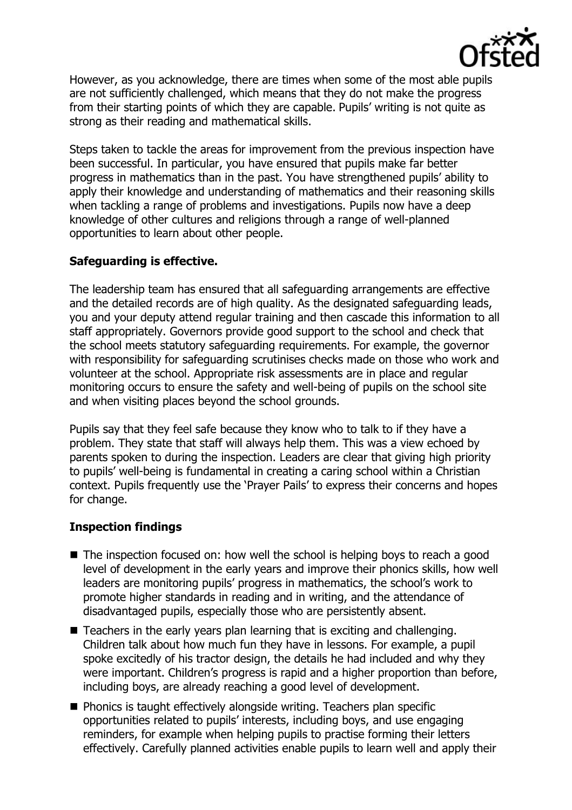

However, as you acknowledge, there are times when some of the most able pupils are not sufficiently challenged, which means that they do not make the progress from their starting points of which they are capable. Pupils' writing is not quite as strong as their reading and mathematical skills.

Steps taken to tackle the areas for improvement from the previous inspection have been successful. In particular, you have ensured that pupils make far better progress in mathematics than in the past. You have strengthened pupils' ability to apply their knowledge and understanding of mathematics and their reasoning skills when tackling a range of problems and investigations. Pupils now have a deep knowledge of other cultures and religions through a range of well-planned opportunities to learn about other people.

# **Safeguarding is effective.**

The leadership team has ensured that all safeguarding arrangements are effective and the detailed records are of high quality. As the designated safeguarding leads, you and your deputy attend regular training and then cascade this information to all staff appropriately. Governors provide good support to the school and check that the school meets statutory safeguarding requirements. For example, the governor with responsibility for safeguarding scrutinises checks made on those who work and volunteer at the school. Appropriate risk assessments are in place and regular monitoring occurs to ensure the safety and well-being of pupils on the school site and when visiting places beyond the school grounds.

Pupils say that they feel safe because they know who to talk to if they have a problem. They state that staff will always help them. This was a view echoed by parents spoken to during the inspection. Leaders are clear that giving high priority to pupils' well-being is fundamental in creating a caring school within a Christian context. Pupils frequently use the 'Prayer Pails' to express their concerns and hopes for change.

# **Inspection findings**

- $\blacksquare$  The inspection focused on: how well the school is helping boys to reach a good level of development in the early years and improve their phonics skills, how well leaders are monitoring pupils' progress in mathematics, the school's work to promote higher standards in reading and in writing, and the attendance of disadvantaged pupils, especially those who are persistently absent.
- Teachers in the early years plan learning that is exciting and challenging. Children talk about how much fun they have in lessons. For example, a pupil spoke excitedly of his tractor design, the details he had included and why they were important. Children's progress is rapid and a higher proportion than before, including boys, are already reaching a good level of development.
- **Phonics is taught effectively alongside writing. Teachers plan specific** opportunities related to pupils' interests, including boys, and use engaging reminders, for example when helping pupils to practise forming their letters effectively. Carefully planned activities enable pupils to learn well and apply their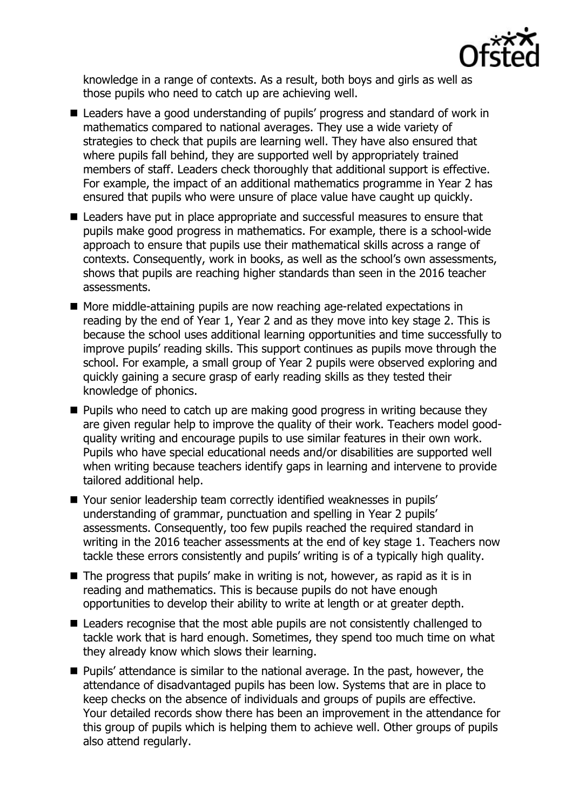

knowledge in a range of contexts. As a result, both boys and girls as well as those pupils who need to catch up are achieving well.

- Leaders have a good understanding of pupils' progress and standard of work in mathematics compared to national averages. They use a wide variety of strategies to check that pupils are learning well. They have also ensured that where pupils fall behind, they are supported well by appropriately trained members of staff. Leaders check thoroughly that additional support is effective. For example, the impact of an additional mathematics programme in Year 2 has ensured that pupils who were unsure of place value have caught up quickly.
- Leaders have put in place appropriate and successful measures to ensure that pupils make good progress in mathematics. For example, there is a school-wide approach to ensure that pupils use their mathematical skills across a range of contexts. Consequently, work in books, as well as the school's own assessments, shows that pupils are reaching higher standards than seen in the 2016 teacher assessments.
- More middle-attaining pupils are now reaching age-related expectations in reading by the end of Year 1, Year 2 and as they move into key stage 2. This is because the school uses additional learning opportunities and time successfully to improve pupils' reading skills. This support continues as pupils move through the school. For example, a small group of Year 2 pupils were observed exploring and quickly gaining a secure grasp of early reading skills as they tested their knowledge of phonics.
- **Pupils who need to catch up are making good progress in writing because they** are given regular help to improve the quality of their work. Teachers model goodquality writing and encourage pupils to use similar features in their own work. Pupils who have special educational needs and/or disabilities are supported well when writing because teachers identify gaps in learning and intervene to provide tailored additional help.
- Your senior leadership team correctly identified weaknesses in pupils' understanding of grammar, punctuation and spelling in Year 2 pupils' assessments. Consequently, too few pupils reached the required standard in writing in the 2016 teacher assessments at the end of key stage 1. Teachers now tackle these errors consistently and pupils' writing is of a typically high quality.
- $\blacksquare$  The progress that pupils' make in writing is not, however, as rapid as it is in reading and mathematics. This is because pupils do not have enough opportunities to develop their ability to write at length or at greater depth.
- Leaders recognise that the most able pupils are not consistently challenged to tackle work that is hard enough. Sometimes, they spend too much time on what they already know which slows their learning.
- **Pupils'** attendance is similar to the national average. In the past, however, the attendance of disadvantaged pupils has been low. Systems that are in place to keep checks on the absence of individuals and groups of pupils are effective. Your detailed records show there has been an improvement in the attendance for this group of pupils which is helping them to achieve well. Other groups of pupils also attend regularly.